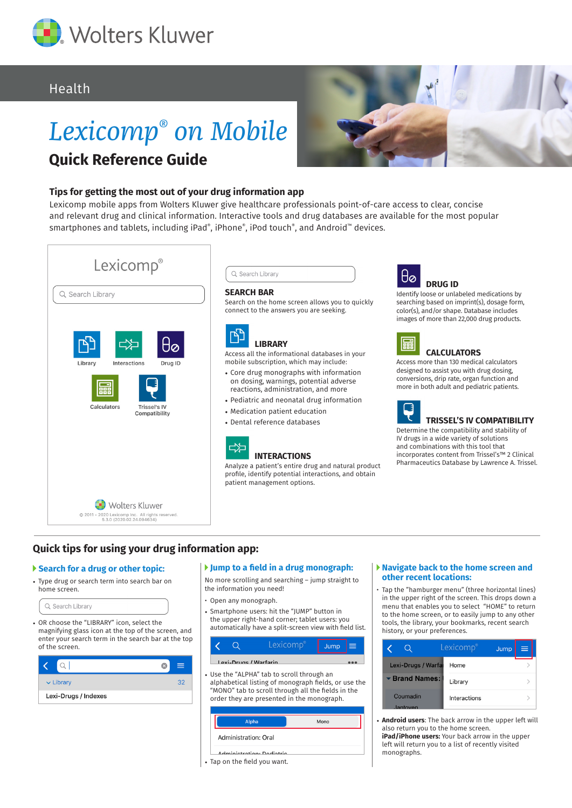

# Health

# *Lexicomp® on Mobile* **Quick Reference Guide**



### **Tips for getting the most out of your drug information app**

Lexicomp mobile apps from Wolters Kluwer give healthcare professionals point-of-care access to clear, concise and relevant drug and clinical information. Interactive tools and drug databases are available for the most popular smartphones and tablets, including iPad®, iPhone®, iPod touch®, and Android™ devices.





#### **SEARCH BAR**

Search on the home screen allows you to quickly connect to the answers you are seeking.

**LIBRARY** Access all the informational databases in your

- mobile subscription, which may include: • Core drug monographs with information
- on dosing, warnings, potential adverse reactions, administration, and more
- Pediatric and neonatal drug information
- Medication patient education
- Dental reference databases

### **INTERACTIONS**

Analyze a patient's entire drug and natural product profile, identify potential interactions, and obtain patient management options.



Identify loose or unlabeled medications by searching based on imprint(s), dosage form, color(s), and/or shape. Database includes images of more than 22,000 drug products.



## **CALCULATORS**

Access more than 130 medical calculators designed to assist you with drug dosing, conversions, drip rate, organ function and more in both adult and pediatric patients.



Determine the compatibility and stability of IV drugs in a wide variety of solutions and combinations with this tool that incorporates content from Trissel's™ 2 Clinical Pharmaceutics Database by Lawrence A. Trissel.

## **Quick tips for using your drug information app:**

#### **Search for a drug or other topic:**

• Type drug or search term into search bar on home screen.



magnifying glass icon at the top of the screen, and enter your search term in the search bar at the top of the screen.

|                      | 9   |
|----------------------|-----|
| $\vee$ Library       | -32 |
| Lexi-Drugs / Indexes |     |

#### **Jump to a field in a drug monograph:**

No more scrolling and searching – jump straight to the information you need!

- Open any monograph.
- Smartphone users: hit the "JUMP" button in the upper right-hand corner; tablet users: you automatically have a split-screen view with field list.

|  | Lexicomp®                                                                                                                                                                                                                                                                                 | Jump $\equiv$ |  |
|--|-------------------------------------------------------------------------------------------------------------------------------------------------------------------------------------------------------------------------------------------------------------------------------------------|---------------|--|
|  | Lexi-Drugs / Warfarin                                                                                                                                                                                                                                                                     |               |  |
|  | • Use the "ALPHA" tab to scroll through an                                                                                                                                                                                                                                                |               |  |
|  | alphabetical listing of monograph fields, or use the<br>$\mu_{1,1}$ and $\mu_{2,1}$ is the contract of the contract of the contract of the contract of the contract of the contract of the contract of the contract of the contract of the contract of the contract of the contract of th |               |  |

alphabetical listing of monograph fields, or use the "MONO" tab to scroll through all the fields in the order they are presented in the monograph.

| Alpha                                           | Mono |
|-------------------------------------------------|------|
| Administration: Oral                            |      |
| Adminictration, Dadiatric                       |      |
| $\cdot$ $\cdot$ $\cdot$ $\cdot$ $\cdot$ $\cdot$ |      |

#### • Tap on the field you want.

#### **Navigate back to the home screen and other recent locations:**

• Tap the "hamburger menu" (three horizontal lines) in the upper right of the screen. This drops down a menu that enables you to select "HOME" to return to the home screen, or to easily jump to any other tools, the library, your bookmarks, recent search history, or your preferences.

|                           | Lexicomp®<br>Jump | ≡ |
|---------------------------|-------------------|---|
| <b>Lexi-Drugs / Warfa</b> | Home              |   |
| ▼ Brand Names:            | Library           |   |
| Coumadin<br>. lantoven    | Interactions      |   |

• **Android users**: The back arrow in the upper left will also return you to the home screen.

**iPad/iPhone users:** Your back arrow in the upper left will return you to a list of recently visited monographs.